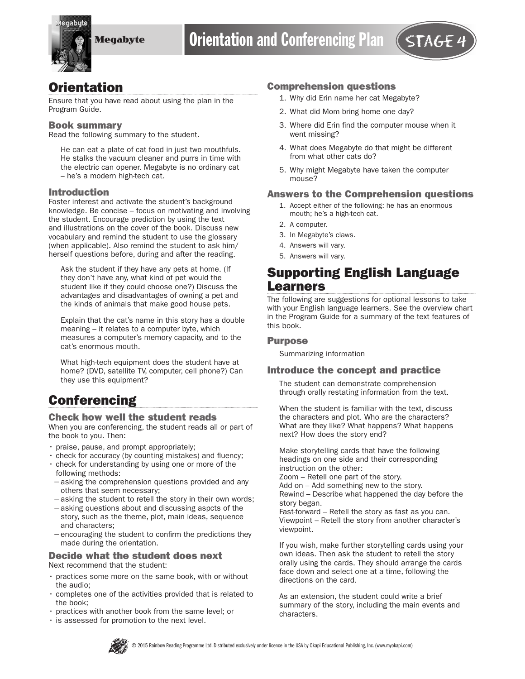

## **Orientation**

Ensure that you have read about using the plan in the Program Guide.

#### Book summary

Read the following summary to the student.

He can eat a plate of cat food in just two mouthfuls. He stalks the vacuum cleaner and purrs in time with the electric can opener. Megabyte is no ordinary cat – he's a modern high-tech cat.

### Introduction

Foster interest and activate the student's background knowledge. Be concise – focus on motivating and involving the student. Encourage prediction by using the text and illustrations on the cover of the book. Discuss new vocabulary and remind the student to use the glossary (when applicable). Also remind the student to ask him/ herself questions before, during and after the reading.

Ask the student if they have any pets at home. (If they don't have any, what kind of pet would the student like if they could choose one?) Discuss the advantages and disadvantages of owning a pet and the kinds of animals that make good house pets.

Explain that the cat's name in this story has a double meaning – it relates to a computer byte, which measures a computer's memory capacity, and to the cat's enormous mouth.

What high-tech equipment does the student have at home? (DVD, satellite TV, computer, cell phone?) Can they use this equipment?

# **Conferencing**

#### Check how well the student reads

When you are conferencing, the student reads all or part of the book to you. Then:

- praise, pause, and prompt appropriately;
- check for accuracy (by counting mistakes) and fluency;
- check for understanding by using one or more of the following methods:
- −asking the comprehension questions provided and any others that seem necessary;
- −asking the student to retell the story in their own words;
- −asking questions about and discussing aspcts of the story, such as the theme, plot, main ideas, sequence and characters;
- −encouraging the student to confirm the predictions they made during the orientation.

#### Decide what the student does next Next recommend that the student:

- practices some more on the same book, with or without the audio;
- completes one of the activities provided that is related to the book;
- practices with another book from the same level; or
- is assessed for promotion to the next level.

### Comprehension questions

- 1. Why did Erin name her cat Megabyte?
- 2. What did Mom bring home one day?
- 3. Where did Erin find the computer mouse when it went missing?
- 4. What does Megabyte do that might be different from what other cats do?
- 5. Why might Megabyte have taken the computer mouse?

### Answers to the Comprehension questions

- 1. Accept either of the following: he has an enormous mouth; he's a high-tech cat.
- 2. A computer.
- 3. In Megabyte's claws.
- 4. Answers will vary.
- 5. Answers will vary.

## Supporting English Language Learners

The following are suggestions for optional lessons to take with your English language learners. See the overview chart in the Program Guide for a summary of the text features of this book.

#### **Purpose**

Summarizing information

#### Introduce the concept and practice

The student can demonstrate comprehension through orally restating information from the text.

When the student is familiar with the text, discuss the characters and plot. Who are the characters? What are they like? What happens? What happens next? How does the story end?

Make storytelling cards that have the following headings on one side and their corresponding instruction on the other:

Zoom – Retell one part of the story.

Add on – Add something new to the story.

Rewind – Describe what happened the day before the story began.

Fast-forward – Retell the story as fast as you can. Viewpoint – Retell the story from another character's viewpoint.

If you wish, make further storytelling cards using your own ideas. Then ask the student to retell the story orally using the cards. They should arrange the cards face down and select one at a time, following the directions on the card.

As an extension, the student could write a brief summary of the story, including the main events and characters.

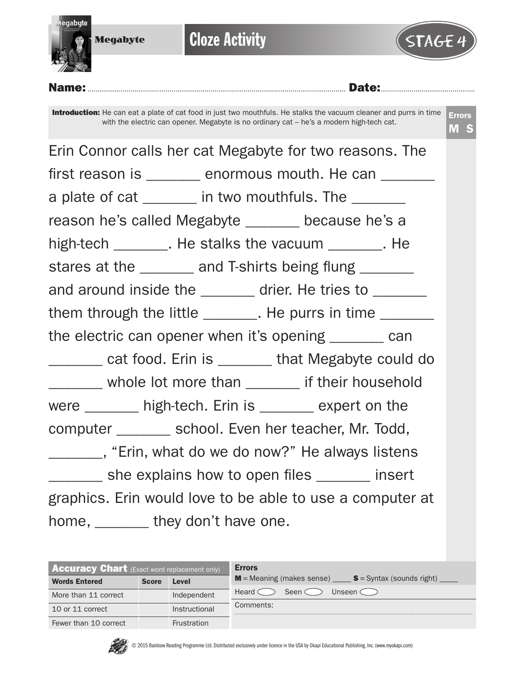

**Cloze Activity** 



Name:.............................................................................................................................. Date:..............................................

Introduction: He can eat a plate of cat food in just two mouthfuls. He stalks the vacuum cleaner and purrs in time with the electric can opener. Megabyte is no ordinary cat – he's a modern high-tech cat.

Errors M S

Erin Connor calls her cat Megabyte for two reasons. The first reason is \_\_\_\_\_\_\_ enormous mouth. He can \_\_\_\_\_\_\_ a plate of cat \_\_\_\_\_\_ in two mouthfuls. The \_\_\_\_\_\_\_ reason he's called Megabyte \_\_\_\_\_\_\_ because he's a high-tech The stalks the vacuum and He stares at the \_\_\_\_\_\_\_ and T-shirts being flung \_\_\_\_\_\_ and around inside the \_\_\_\_\_\_\_ drier. He tries to \_\_\_\_\_\_ them through the little \_\_\_\_\_\_\_. He purrs in time \_\_\_\_\_\_\_ the electric can opener when it's opening \_\_\_\_\_\_\_ can \_\_\_\_\_\_\_ cat food. Erin is \_\_\_\_\_\_\_ that Megabyte could do \_\_\_\_\_\_\_ whole lot more than \_\_\_\_\_\_\_ if their household were \_\_\_\_\_\_\_ high-tech. Erin is \_\_\_\_\_\_ expert on the computer \_\_\_\_\_\_\_ school. Even her teacher, Mr. Todd, \_\_\_\_\_\_\_, "Erin, what do we do now?" He always listens she explains how to open files **Example 2** insert graphics. Erin would love to be able to use a computer at home, \_\_\_\_\_\_\_ they don't have one.

| <b>Accuracy Chart</b> (Exact word replacement only) |              |                    | <b>Errors</b>                                                                         |  |  |  |  |
|-----------------------------------------------------|--------------|--------------------|---------------------------------------------------------------------------------------|--|--|--|--|
| <b>Words Entered</b>                                | <b>Score</b> | Level              | $M$ = Meaning (makes sense) $\_\_\_\_\_\$ S = Syntax (sounds right) $\_\_\_\_\_\_\_\$ |  |  |  |  |
| More than 11 correct                                |              | Independent        | Seen $\subset$<br>Unseen $\subset$ $\subset$<br>Heard $\leq$                          |  |  |  |  |
| 10 or 11 correct                                    |              | Instructional      | Comments:                                                                             |  |  |  |  |
| Fewer than 10 correct                               |              | <b>Frustration</b> |                                                                                       |  |  |  |  |

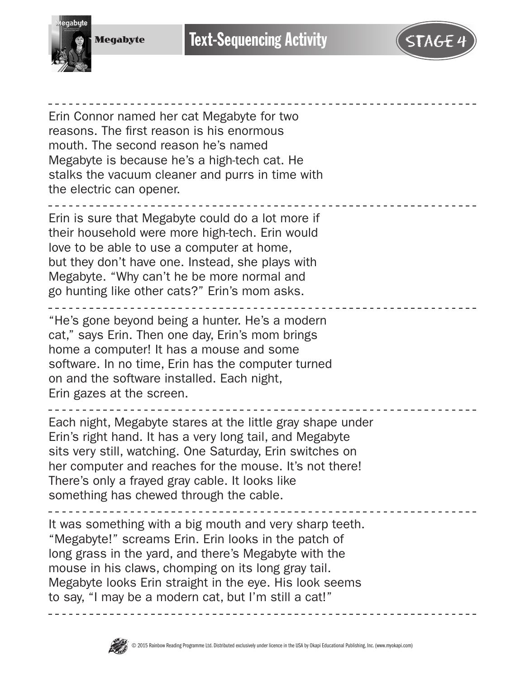

Megabyte

**Text-Sequencing Activity** 

Erin Connor named her cat Megabyte for two reasons. The first reason is his enormous mouth. The second reason he's named Megabyte is because he's a high-tech cat. He stalks the vacuum cleaner and purrs in time with the electric can opener.

Erin is sure that Megabyte could do a lot more if their household were more high-tech. Erin would love to be able to use a computer at home, but they don't have one. Instead, she plays with Megabyte. "Why can't he be more normal and go hunting like other cats?" Erin's mom asks.

"He's gone beyond being a hunter. He's a modern cat," says Erin. Then one day, Erin's mom brings home a computer! It has a mouse and some software. In no time, Erin has the computer turned on and the software installed. Each night, Erin gazes at the screen.

Each night, Megabyte stares at the little gray shape under Erin's right hand. It has a very long tail, and Megabyte sits very still, watching. One Saturday, Erin switches on her computer and reaches for the mouse. It's not there! There's only a frayed gray cable. It looks like something has chewed through the cable.

It was something with a big mouth and very sharp teeth. "Megabyte!" screams Erin. Erin looks in the patch of long grass in the yard, and there's Megabyte with the mouse in his claws, chomping on its long gray tail. Megabyte looks Erin straight in the eye. His look seems to say, "I may be a modern cat, but I'm still a cat!"

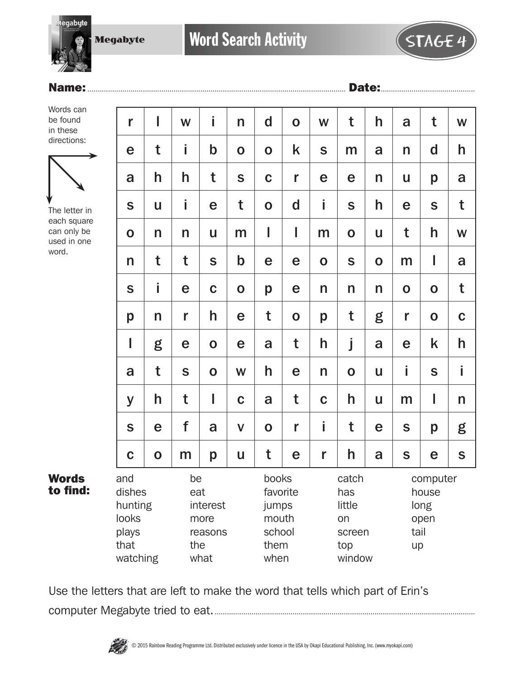Megabyte

**gabute** 

## Name:.............................................................................................................................. Date:..............................................

Words can be found in these directions:



The letter in each square can only be used in one word.

Words to find:

| r                                                              | I            | W                | j                                   | $\mathsf{n}$ | $\mathbf d$                                                   | $\mathbf 0$ | W           | t                                                       | h           | a           | t                                 | W            |
|----------------------------------------------------------------|--------------|------------------|-------------------------------------|--------------|---------------------------------------------------------------|-------------|-------------|---------------------------------------------------------|-------------|-------------|-----------------------------------|--------------|
| e                                                              | t            | İ                | $\mathbf b$                         | $\mathbf 0$  | $\mathbf 0$                                                   | k           | S           | m                                                       | a           | n           | d                                 | h            |
| a                                                              | h            | h                | t                                   | S            | $\mathbf C$                                                   | r           | e           | e                                                       | n           | U           | p                                 | a            |
| S                                                              | $\mathsf{u}$ | i                | e                                   | t            | $\mathbf 0$                                                   | $\mathbf d$ | İ.          | S                                                       | h           | e           | S                                 | t            |
| $\mathbf 0$                                                    | n            | n                | U                                   | m            | I                                                             | I           | m           | $\mathbf 0$                                             | U           | t           | h                                 | W            |
| n                                                              | t            | t                | S                                   | $\mathbf b$  | e                                                             | e           | $\mathbf 0$ | S                                                       | $\mathbf O$ | m           | I                                 | a            |
| S                                                              | İ            | e                | $\mathbf C$                         | $\mathbf O$  | p                                                             | e           | n           | n                                                       | n           | $\mathbf 0$ | $\mathbf O$                       | t            |
| p                                                              | n            | r                | h                                   | e            | t                                                             | $\mathbf 0$ | p           | t                                                       | g           | r           | $\mathbf 0$                       | $\mathbf C$  |
| I                                                              | g            | e                | $\mathbf 0$                         | e            | a                                                             | t           | h           | j                                                       | a           | e           | k                                 | h            |
| a                                                              | t            | S                | $\mathbf 0$                         | W            | h                                                             | e           | n           | $\mathbf 0$                                             | U           | i           | S                                 | i            |
| y                                                              | h            | t                | $\mathsf I$                         | $\mathbf C$  | a                                                             | t           | $\mathbf C$ | h                                                       | U           | m           | I                                 | $\mathsf{n}$ |
| S                                                              | e            | f                | a                                   | $\mathsf{V}$ | $\mathbf 0$                                                   | r           | İ.          | t                                                       | e           | S           | p                                 | g            |
| $\mathbf C$                                                    | $\mathbf O$  | m                | p                                   | U            | t                                                             | e           | r           | h                                                       | a           | $\mathbf S$ | e                                 | $\mathsf S$  |
| and<br>dishes<br>hunting<br>looks<br>plays<br>that<br>watching |              | be<br>eat<br>the | interest<br>more<br>reasons<br>what |              | books<br>favorite<br>jumps<br>mouth<br>school<br>them<br>when |             |             | catch<br>has<br>little<br>on<br>screen<br>top<br>window |             | tail<br>up  | computer<br>house<br>long<br>open |              |

Use the letters that are left to make the word that tells which part of Erin's

computer Megabyte tried to eat................................................................................................................................

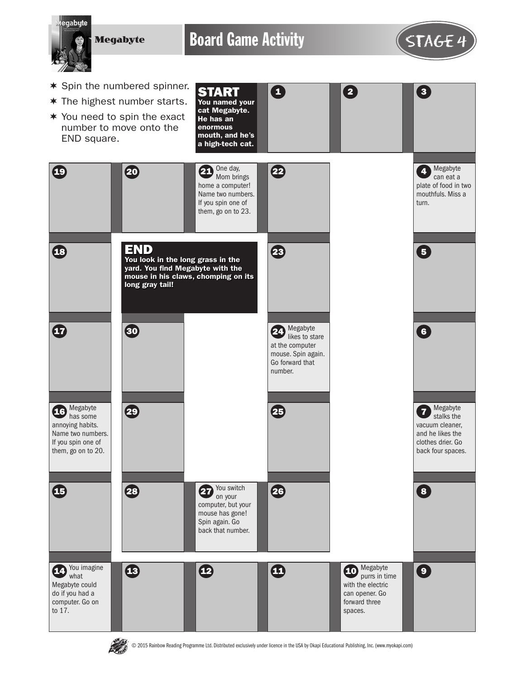**Megabyte** 

Board Game Activity **STAGE 4** 

 $\mathbf \Omega$ 

START





Megabyte can eat a plate of food in two mouthfuls. Miss a

turn.

4

 $\begin{array}{|c|c|c|c|}\n\hline\n2 & 3\n\end{array}$ 

- $*$  Spin the numbered spinner.
- $*$  The highest number starts.



Spin again. Go back that number.



Megabyte

with the electric can opener. Go forward three spaces.



You imagine what Megabyte could do if you had a computer. Go on to 17.

© 2015 Rainbow Reading Programme Ltd. Distributed exclusively under licence in the USA by Okapi Educational Publishing, Inc. (www.myokapi.com)